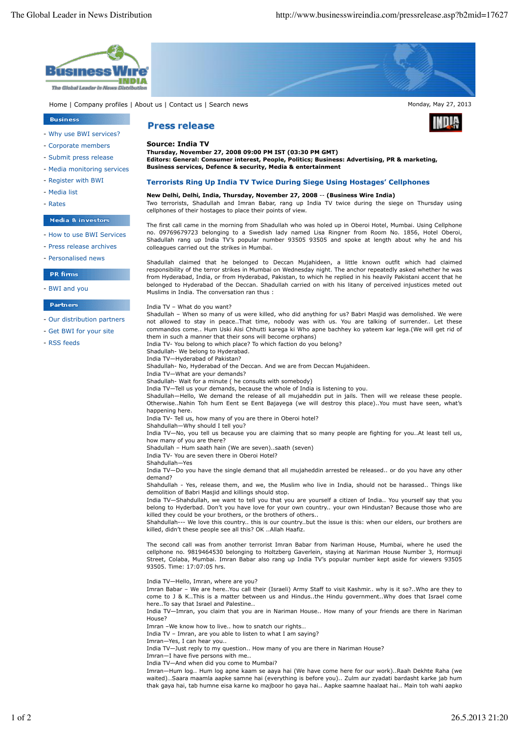

- 
- Media monitoring services
- Register with BWI
- Media list
- Rates

# Media & investors

- How to use BWI Services
- Press release archives
- Personalised news

# **PR** firms

- BWI and you

## Partners

- Our distribution partners
- Get BWI for your site
- RSS feeds

**Editors: General: Consumer interest, People, Politics; Business: Advertising, PR & marketing, Business services, Defence & security, Media & entertainment**

#### **Terrorists Ring Up India TV Twice During Siege Using Hostages' Cellphones**

## **New Delhi, Delhi, India, Thursday, November 27, 2008** -- **(Business Wire India)** Two terrorists, Shadullah and Imran Babar, rang up India TV twice during the siege on Thursday using cellphones of their hostages to place their points of view.

The first call came in the morning from Shadullah who was holed up in Oberoi Hotel, Mumbai. Using Cellphone no. 09769679723 belonging to a Swedish lady named Lisa Ringner from Room No. 1856, Hotel Oberoi, Shadullah rang up India TV's popular number 93505 93505 and spoke at length about why he and his colleagues carried out the strikes in Mumbai.

Shadullah claimed that he belonged to Deccan Mujahideen, a little known outfit which had claimed responsibility of the terror strikes in Mumbai on Wednesday night. The anchor repeatedly asked whether he was from Hyderabad, India, or from Hyderabad, Pakistan, to which he replied in his heavily Pakistani accent that he belonged to Hyderabad of the Deccan. Shadullah carried on with his litany of perceived injustices meted out Muslims in India. The conversation ran thus :

#### India TV – What do you want?

Shadullah – When so many of us were killed, who did anything for us? Babri Masjid was demolished. We were not allowed to stay in peace..That time, nobody was with us. You are talking of surrender.. Let these commandos come.. Hum Uski Aisi Chhutti karega ki Who apne bachhey ko yateem kar lega.(We will get rid of them in such a manner that their sons will become orphans)

India TV- You belong to which place? To which faction do you belong?

Shadullah- We belong to Hyderabad.

India TV—Hyderabad of Pakistan? Shadullah- No, Hyderabad of the Deccan. And we are from Deccan Mujahideen.

India TV—What are your demands?

Shadullah- Wait for a minute ( he consults with somebody)

India TV—Tell us your demands, because the whole of India is listening to you.

Shadullah—Hello, We demand the release of all mujaheddin put in jails. Then will we release these people. Otherwise..Nahin Toh hum Eent se Eent Bajayega (we will destroy this place)..You must have seen, what's happening here.

India TV- Tell us, how many of you are there in Oberoi hotel?

Shahdullah—Why should I tell you?

India TV—No, you tell us because you are claiming that so many people are fighting for you..At least tell us, how many of you are there?

Shadullah – Hum saath hain (We are seven)..saath (seven)

India TV- You are seven there in Oberoi Hotel? Shahdullah—Yes

India TV—Do you have the single demand that all mujaheddin arrested be released.. or do you have any other demand?

Shahdullah - Yes, release them, and we, the Muslim who live in India, should not be harassed.. Things like demolition of Babri Masjid and killings should stop.

India TV—Shahdullah, we want to tell you that you are yourself a citizen of India.. You yourself say that you belong to Hyderbad. Don't you have love for your own country.. your own Hindustan? Because those who are killed they could be your brothers, or the brothers of others..

Shahdullah--- We love this country.. this is our country..but the issue is this: when our elders, our brothers are killed, didn't these people see all this? OK ..Allah Haafiz.

The second call was from another terrorist Imran Babar from Nariman House, Mumbai, where he used the cellphone no. 9819464530 belonging to Holtzberg Gaverlein, staying at Nariman House Number 3, Hormusji Street, Colaba, Mumbai. Imran Babar also rang up India TV's popular number kept aside for viewers 93505 93505. Time: 17:07:05 hrs.

India TV—Hello, Imran, where are you?

Imran Babar – We are here..You call their (Israeli) Army Staff to visit Kashmir.. why is it so?..Who are they to come to J & K..This is a matter between us and Hindus..the Hindu government..Why does that Israel come here..To say that Israel and Palestine..

India TV—Imran, you claim that you are in Nariman House.. How many of your friends are there in Nariman House?

Imran –We know how to live.. how to snatch our rights…

India TV – Imran, are you able to listen to what I am saying?

Imran—Yes, I can hear you..

India TV—Just reply to my question.. How many of you are there in Nariman House?

Imran—I have five persons with me..

India TV—And when did you come to Mumbai?

Imran—Hum log.. Hum log apne kaam se aaya hai (We have come here for our work)..Raah Dekhte Raha (we waited)…Saara maamla aapke samne hai (everything is before you).. Zulm aur zyadati bardasht karke jab hum thak gaya hai, tab humne eisa karne ko majboor ho gaya hai.. Aapke saamne haalaat hai.. Main toh wahi aapko